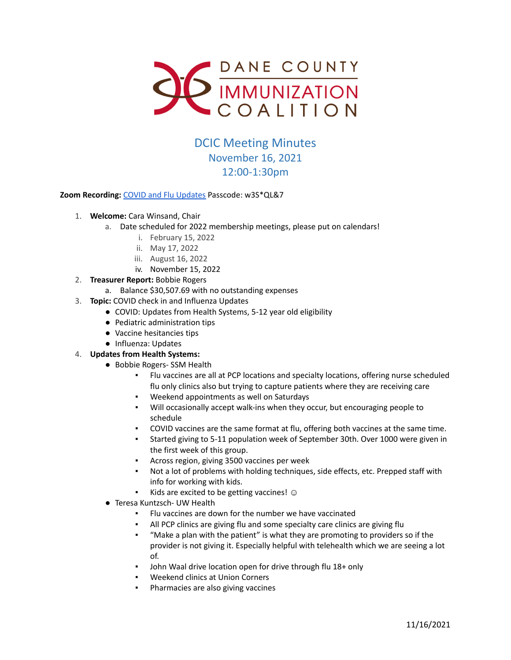

## DCIC Meeting Minutes November 16, 2021 12:00-1:30pm

## **Zoom Recording:** [COVID and Flu Updates](https://us02web.zoom.us/rec/play/SlJiVk0gYuyhiOB7qr1ndU2imeDOF1btIRo9m-M7N0kx_0MIsXYUEvHIT0W1cs64paXJeAwON5-NF1eq.vEZwtVuTSKtYxre8?continueMode=true&_x_zm_rtaid=oHmfFeuFSGKxKwN6lGZHGw.1638030041079.628c00dc45733b88b8c9b4d153694591&_x_zm_rhtaid=600) Passcode: w3S\*QL&7

- 1. **Welcome:** Cara Winsand, Chair
	- a. Date scheduled for 2022 membership meetings, please put on calendars!
		- i. February 15, 2022
		- ii. May 17, 2022
		- iii. August 16, 2022
		- iv. November 15, 2022
- 2. **Treasurer Report:** Bobbie Rogers
	- a. Balance \$30,507.69 with no outstanding expenses
- 3. **Topic:** COVID check in and Influenza Updates
	- COVID: Updates from Health Systems, 5-12 year old eligibility
	- Pediatric administration tips
	- Vaccine hesitancies tips
	- Influenza: Updates

## 4. **Updates from Health Systems:**

- Bobbie Rogers- SSM Health
	- Flu vaccines are all at PCP locations and specialty locations, offering nurse scheduled flu only clinics also but trying to capture patients where they are receiving care
	- Weekend appointments as well on Saturdays
	- Will occasionally accept walk-ins when they occur, but encouraging people to schedule
	- COVID vaccines are the same format at flu, offering both vaccines at the same time.
	- Started giving to 5-11 population week of September 30th. Over 1000 were given in the first week of this group.
	- Across region, giving 3500 vaccines per week
	- Not a lot of problems with holding techniques, side effects, etc. Prepped staff with info for working with kids.
	- Kids are excited to be getting vaccines!  $\odot$
- Teresa Kuntzsch- UW Health
	- Flu vaccines are down for the number we have vaccinated
	- All PCP clinics are giving flu and some specialty care clinics are giving flu
	- "Make a plan with the patient" is what they are promoting to providers so if the provider is not giving it. Especially helpful with telehealth which we are seeing a lot of.
	- John Waal drive location open for drive through flu 18+ only
	- Weekend clinics at Union Corners
	- Pharmacies are also giving vaccines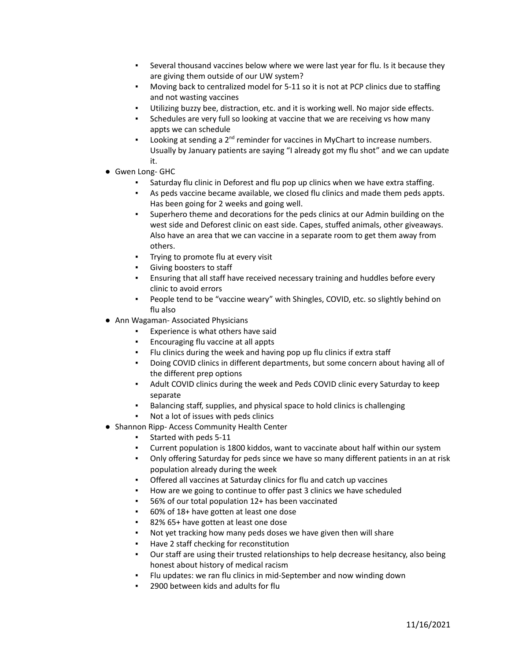- Several thousand vaccines below where we were last year for flu. Is it because they are giving them outside of our UW system?
- Moving back to centralized model for 5-11 so it is not at PCP clinics due to staffing and not wasting vaccines
- Utilizing buzzy bee, distraction, etc. and it is working well. No major side effects.
- Schedules are very full so looking at vaccine that we are receiving vs how many appts we can schedule
- **•** Looking at sending a  $2^{nd}$  reminder for vaccines in MyChart to increase numbers. Usually by January patients are saying "I already got my flu shot" and we can update it.
- Gwen Long- GHC
	- Saturday flu clinic in Deforest and flu pop up clinics when we have extra staffing.
	- As peds vaccine became available, we closed flu clinics and made them peds appts. Has been going for 2 weeks and going well.
	- Superhero theme and decorations for the peds clinics at our Admin building on the west side and Deforest clinic on east side. Capes, stuffed animals, other giveaways. Also have an area that we can vaccine in a separate room to get them away from others.
	- Trying to promote flu at every visit
	- Giving boosters to staff
	- Ensuring that all staff have received necessary training and huddles before every clinic to avoid errors
	- People tend to be "vaccine weary" with Shingles, COVID, etc. so slightly behind on flu also
- Ann Wagaman- Associated Physicians
	- Experience is what others have said
	- Encouraging flu vaccine at all appts
	- Flu clinics during the week and having pop up flu clinics if extra staff
	- Doing COVID clinics in different departments, but some concern about having all of the different prep options
	- Adult COVID clinics during the week and Peds COVID clinic every Saturday to keep separate
	- Balancing staff, supplies, and physical space to hold clinics is challenging
	- Not a lot of issues with peds clinics
- Shannon Ripp- Access Community Health Center
	- Started with peds 5-11
	- Current population is 1800 kiddos, want to vaccinate about half within our system
	- Only offering Saturday for peds since we have so many different patients in an at risk population already during the week
	- Offered all vaccines at Saturday clinics for flu and catch up vaccines
	- How are we going to continue to offer past 3 clinics we have scheduled
	- 56% of our total population 12+ has been vaccinated
	- 60% of 18+ have gotten at least one dose
	- 82% 65+ have gotten at least one dose
	- Not yet tracking how many peds doses we have given then will share
	- Have 2 staff checking for reconstitution
	- Our staff are using their trusted relationships to help decrease hesitancy, also being honest about history of medical racism
	- Flu updates: we ran flu clinics in mid-September and now winding down
	- 2900 between kids and adults for flu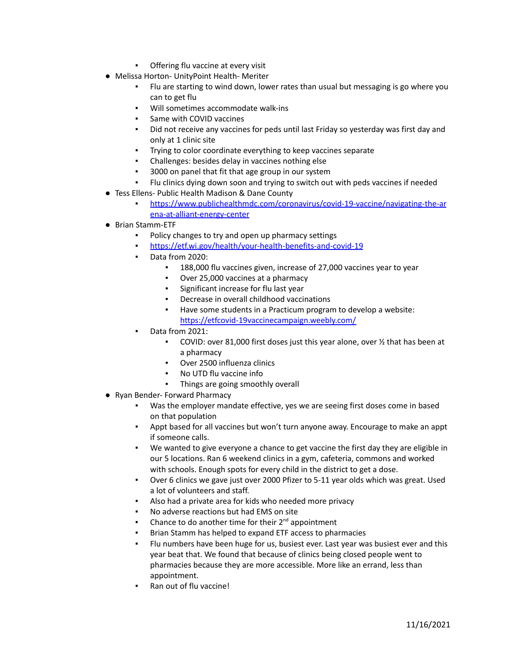- **•** Offering flu vaccine at every visit
- Melissa Horton- UnityPoint Health- Meriter
	- Flu are starting to wind down, lower rates than usual but messaging is go where you can to get flu
	- Will sometimes accommodate walk-ins
	- Same with COVID vaccines
	- Did not receive any vaccines for peds until last Friday so yesterday was first day and only at 1 clinic site
	- Trying to color coordinate everything to keep vaccines separate
	- Challenges: besides delay in vaccines nothing else
	- 3000 on panel that fit that age group in our system
	- Flu clinics dying down soon and trying to switch out with peds vaccines if needed
- Tess Ellens- Public Health Madison & Dane County
	- [https://www.publichealthmdc.com/coronavirus/covid-19-vaccine/navigating-the-ar](https://www.publichealthmdc.com/coronavirus/covid-19-vaccine/navigating-the-arena-at-alliant-energy-center) [ena-at-alliant-energy-center](https://www.publichealthmdc.com/coronavirus/covid-19-vaccine/navigating-the-arena-at-alliant-energy-center)
- Brian Stamm-ETF
	- Policy changes to try and open up pharmacy settings
	- <https://etf.wi.gov/health/your-health-benefits-and-covid-19>
	- Data from 2020:
		- 188,000 flu vaccines given, increase of 27,000 vaccines year to year
		- Over 25,000 vaccines at a pharmacy
		- Significant increase for flu last year
		- Decrease in overall childhood vaccinations
		- Have some students in a Practicum program to develop a website: <https://etfcovid-19vaccinecampaign.weebly.com/>
	- Data from 2021:
		- COVID: over 81,000 first doses just this year alone, over ½ that has been at a pharmacy
		- Over 2500 influenza clinics
		- No UTD flu vaccine info
		- Things are going smoothly overall
- Ryan Bender- Forward Pharmacy
	- Was the employer mandate effective, yes we are seeing first doses come in based on that population
	- Appt based for all vaccines but won't turn anyone away. Encourage to make an appt if someone calls.
	- We wanted to give everyone a chance to get vaccine the first day they are eligible in our 5 locations. Ran 6 weekend clinics in a gym, cafeteria, commons and worked with schools. Enough spots for every child in the district to get a dose.
	- Over 6 clinics we gave just over 2000 Pfizer to 5-11 year olds which was great. Used a lot of volunteers and staff.
	- Also had a private area for kids who needed more privacy
	- No adverse reactions but had EMS on site
	- Chance to do another time for their  $2^{nd}$  appointment
	- Brian Stamm has helped to expand ETF access to pharmacies
	- Flu numbers have been huge for us, busiest ever. Last year was busiest ever and this year beat that. We found that because of clinics being closed people went to pharmacies because they are more accessible. More like an errand, less than appointment.
	- Ran out of flu vaccine!